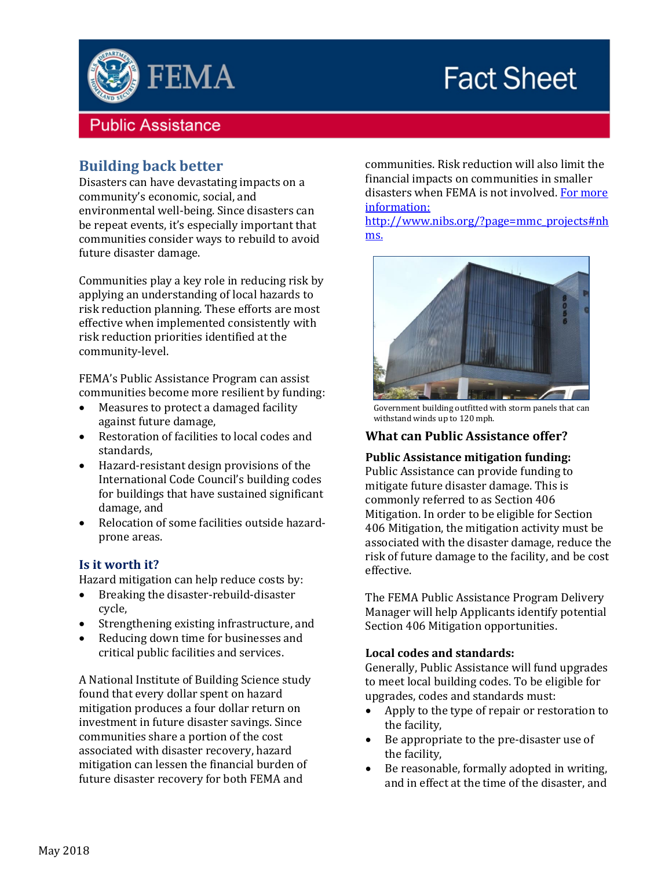

# **Fact Sheet**

# **Public Assistance**

# **Building back better**

Disasters can have devastating impacts on a community's economic, social, and environmental well-being. Since disasters can be repeat events, it's especially important that communities consider ways to rebuild to avoid future disaster damage.

Communities play a key role in reducing risk by applying an understanding of local hazards to risk reduction planning. These efforts are most effective when implemented consistently with risk reduction priorities identified at the community-level.

FEMA's Public Assistance Program can assist communities become more resilient by funding:

- Measures to protect a damaged facility against future damage,
- Restoration of facilities to local codes and standards,
- Hazard-resistant design provisions of the International Code Council's building codes for buildings that have sustained significant damage, and
- Relocation of some facilities outside hazardprone areas.

#### **Is it worth it?**

Hazard mitigation can help reduce costs by:

- Breaking the disaster-rebuild-disaster cycle,
- Strengthening existing infrastructure, and
- Reducing down time for businesses and critical public facilities and services.

A National Institute of Building Science study found that every dollar spent on hazard mitigation produces a four dollar return on investment in future disaster savings. Since communities share a portion of the cost associated with disaster recovery, hazard mitigation can lessen the financial burden of future disaster recovery for both FEMA and

communities. Risk reduction will also limit the financial impacts on communities in smaller disasters when FEMA is not involved. For more information:

http://www.nibs.org/?page=mmc\_projects#nh ms.



Government building outfitted with storm panels that can withstand winds up to 120 mph.

## **What can Public Assistance offer?**

#### **Public Assistance mitigation funding:**

Public Assistance can provide funding to mitigate future disaster damage. This is commonly referred to as Section 406 Mitigation. In order to be eligible for Section 406 Mitigation, the mitigation activity must be associated with the disaster damage, reduce the risk of future damage to the facility, and be cost effective.

The FEMA Public Assistance Program Delivery Manager will help Applicants identify potential Section 406 Mitigation opportunities.

#### **Local codes and standards:**

Generally, Public Assistance will fund upgrades to meet local building codes. To be eligible for upgrades, codes and standards must:

- Apply to the type of repair or restoration to the facility,
- Be appropriate to the pre-disaster use of the facility,
- Be reasonable, formally adopted in writing, and in effect at the time of the disaster, and